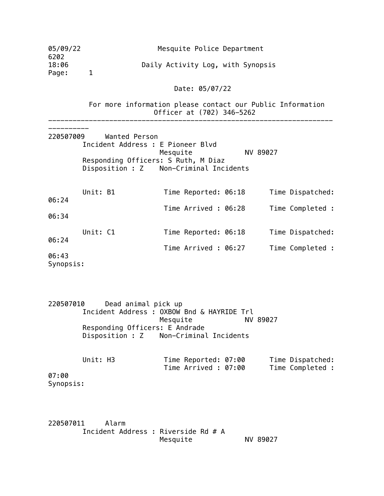| 05/09/22<br>6202                                           | Mesquite Police Department            |                                                                                                                                                                                                                                |          |                                                                              |  |  |  |  |  |
|------------------------------------------------------------|---------------------------------------|--------------------------------------------------------------------------------------------------------------------------------------------------------------------------------------------------------------------------------|----------|------------------------------------------------------------------------------|--|--|--|--|--|
| 18:06<br>Page:                                             | 1                                     | Daily Activity Log, with Synopsis                                                                                                                                                                                              |          |                                                                              |  |  |  |  |  |
|                                                            |                                       | Date: 05/07/22                                                                                                                                                                                                                 |          |                                                                              |  |  |  |  |  |
|                                                            |                                       | For more information please contact our Public Information<br>Officer at (702) 346-5262                                                                                                                                        |          |                                                                              |  |  |  |  |  |
| 220507009<br>06:24<br>06:34<br>06:24<br>06:43<br>Synopsis: | Wanted Person<br>Unit: B1<br>Unit: C1 | Incident Address : E Pioneer Blvd<br>Mesquite<br>Responding Officers: S Ruth, M Diaz<br>Disposition : Z Non-Criminal Incidents<br>Time Reported: 06:18<br>Time Arrived : 06:28<br>Time Reported: 06:18<br>Time Arrived : 06:27 | NV 89027 | Time Dispatched:<br>Time Completed :<br>Time Dispatched:<br>Time Completed : |  |  |  |  |  |

220507010 Dead animal pick up Incident Address : OXBOW Bnd & HAYRIDE Trl Mesquite NV 89027 Responding Officers: E Andrade Disposition : Z Non-Criminal Incidents

| Unit: H3  | Time Reported: 07:00 | Time Dispatched: |
|-----------|----------------------|------------------|
|           | Time Arrived : 07:00 | Time Completed : |
| 07:00     |                      |                  |
| Synopsis: |                      |                  |

220507011 Alarm Incident Address : Riverside Rd # A NV 89027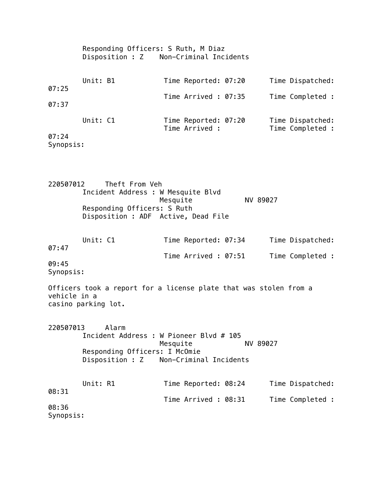|                                             | Responding Officers: S Ruth, M Diaz<br>Disposition : Z Non-Criminal Incidents                                              |                                                                                    |  |          |                                      |  |  |  |  |
|---------------------------------------------|----------------------------------------------------------------------------------------------------------------------------|------------------------------------------------------------------------------------|--|----------|--------------------------------------|--|--|--|--|
| 07:25<br>07:37                              | Unit: B1                                                                                                                   | Time Reported: 07:20<br>Time Arrived: 07:35                                        |  |          | Time Dispatched:<br>Time Completed : |  |  |  |  |
| 07:24<br>Synopsis:                          | Unit: C1                                                                                                                   | Time Reported: 07:20<br>Time Arrived :                                             |  |          | Time Dispatched:<br>Time Completed : |  |  |  |  |
| 220507012                                   | Theft From Veh<br>Incident Address : W Mesquite Blvd<br>Responding Officers: S Ruth<br>Disposition : ADF Active, Dead File | Mesquite                                                                           |  | NV 89027 |                                      |  |  |  |  |
| 07:47<br>09:45<br>Synopsis:<br>vehicle in a | Unit: C1<br>Officers took a report for a license plate that was stolen from a<br>casino parking lot.                       | Time Reported: 07:34<br>Time Arrived: 07:51                                        |  |          | Time Dispatched:<br>Time Completed : |  |  |  |  |
| 220507013<br>08:31<br>08:36<br>Synopsis:    | Alarm<br>Incident Address : W Pioneer Blvd # 105<br>Responding Officers: I McOmie<br>Disposition : Z<br>Unit: R1           | Mesquite<br>Non-Criminal Incidents<br>Time Reported: 08:24<br>Time Arrived : 08:31 |  | NV 89027 | Time Dispatched:<br>Time Completed : |  |  |  |  |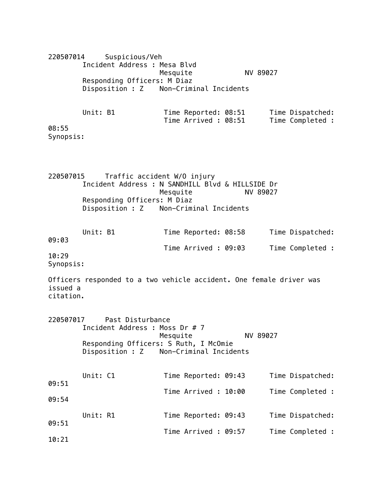| 220507014             |                                                                     | Suspicious/Veh              |          |                        |                      |                  |
|-----------------------|---------------------------------------------------------------------|-----------------------------|----------|------------------------|----------------------|------------------|
|                       | Incident Address : Mesa Blvd                                        |                             |          |                        | NV 89027             |                  |
|                       | Responding Officers: M Diaz                                         |                             | Mesquite |                        |                      |                  |
|                       | Disposition : Z Non-Criminal Incidents                              |                             |          |                        |                      |                  |
|                       |                                                                     |                             |          |                        |                      |                  |
|                       | Unit: B1                                                            |                             |          | Time Reported: 08:51   |                      | Time Dispatched: |
|                       |                                                                     |                             |          |                        | Time Arrived : 08:51 | Time Completed : |
| 08:55                 |                                                                     |                             |          |                        |                      |                  |
| Synopsis:             |                                                                     |                             |          |                        |                      |                  |
|                       |                                                                     |                             |          |                        |                      |                  |
|                       |                                                                     |                             |          |                        |                      |                  |
| 220507015             |                                                                     | Traffic accident W/O injury |          |                        |                      |                  |
|                       | Incident Address : N SANDHILL Blvd & HILLSIDE Dr                    |                             |          |                        |                      |                  |
|                       |                                                                     |                             | Mesquite |                        | NV 89027             |                  |
|                       | Responding Officers: M Diaz<br>Disposition : Z                      |                             |          | Non-Criminal Incidents |                      |                  |
|                       |                                                                     |                             |          |                        |                      |                  |
|                       | Unit: B1                                                            |                             |          | Time Reported: 08:58   |                      | Time Dispatched: |
| 09:03                 |                                                                     |                             |          |                        |                      |                  |
|                       |                                                                     |                             |          | Time Arrived : 09:03   |                      | Time Completed : |
| 10:29<br>Synopsis:    |                                                                     |                             |          |                        |                      |                  |
|                       |                                                                     |                             |          |                        |                      |                  |
|                       | Officers responded to a two vehicle accident. One female driver was |                             |          |                        |                      |                  |
| issued a<br>citation. |                                                                     |                             |          |                        |                      |                  |
|                       |                                                                     |                             |          |                        |                      |                  |
|                       |                                                                     |                             |          |                        |                      |                  |
|                       | 220507017 Past Disturbance<br>Incident Address : Moss Dr # 7        |                             |          |                        |                      |                  |
|                       |                                                                     |                             | Mesquite |                        | NV 89027             |                  |
|                       | Responding Officers: S Ruth, I McOmie                               |                             |          |                        |                      |                  |
|                       | Disposition : Z                                                     |                             |          | Non-Criminal Incidents |                      |                  |
|                       |                                                                     |                             |          |                        |                      |                  |
|                       | Unit: C1                                                            |                             |          | Time Reported: 09:43   |                      | Time Dispatched: |
| 09:51                 |                                                                     |                             |          | Time Arrived : 10:00   |                      | Time Completed : |
| 09:54                 |                                                                     |                             |          |                        |                      |                  |
|                       | Unit: R1                                                            |                             |          |                        |                      |                  |
| 09:51                 |                                                                     |                             |          | Time Reported: 09:43   |                      | Time Dispatched: |
|                       |                                                                     |                             |          | Time Arrived : 09:57   |                      | Time Completed : |
| 10:21                 |                                                                     |                             |          |                        |                      |                  |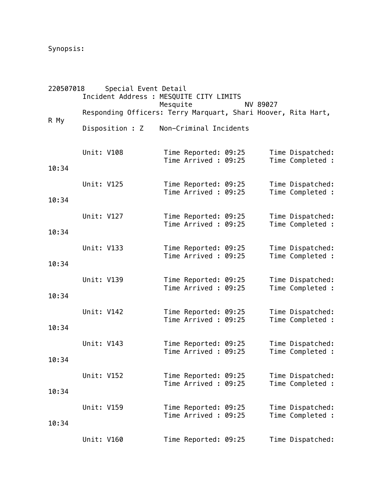Synopsis:

| 220507018 |            | Special Event Detail<br>Incident Address : MESQUITE CITY LIMITS |          |                                             |       |          |                                      |
|-----------|------------|-----------------------------------------------------------------|----------|---------------------------------------------|-------|----------|--------------------------------------|
|           |            | Responding Officers: Terry Marquart, Shari Hoover, Rita Hart,   | Mesquite |                                             |       | NV 89027 |                                      |
| R My      |            | Disposition : Z                                                 |          | Non-Criminal Incidents                      |       |          |                                      |
| 10:34     | Unit: V108 |                                                                 |          | Time Reported: 09:25<br>Time Arrived: 09:25 |       |          | Time Dispatched:<br>Time Completed : |
| 10:34     | Unit: V125 |                                                                 |          | Time Reported: 09:25<br>Time Arrived: 09:25 |       |          | Time Dispatched:<br>Time Completed : |
| 10:34     | Unit: V127 |                                                                 |          | Time Reported: 09:25<br>Time Arrived: 09:25 |       |          | Time Dispatched:<br>Time Completed : |
| 10:34     | Unit: V133 |                                                                 |          | Time Reported: 09:25<br>Time Arrived: 09:25 |       |          | Time Dispatched:<br>Time Completed : |
| 10:34     | Unit: V139 |                                                                 |          | Time Reported: 09:25<br>Time Arrived: 09:25 |       |          | Time Dispatched:<br>Time Completed : |
| 10:34     | Unit: V142 |                                                                 |          | Time Reported: 09:25<br>Time Arrived: 09:25 |       |          | Time Dispatched:<br>Time Completed : |
| 10:34     | Unit: V143 |                                                                 |          | Time Reported: 09:25<br>Time Arrived :      | 09:25 |          | Time Dispatched:<br>Time Completed : |
| 10:34     | Unit: V152 |                                                                 |          | Time Reported: 09:25<br>Time Arrived: 09:25 |       |          | Time Dispatched:<br>Time Completed : |
| 10:34     | Unit: V159 |                                                                 |          | Time Reported: 09:25<br>Time Arrived: 09:25 |       |          | Time Dispatched:<br>Time Completed : |
|           | Unit: V160 |                                                                 |          | Time Reported: 09:25                        |       |          | Time Dispatched:                     |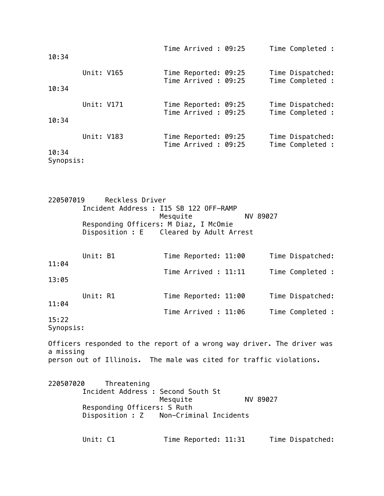| 10:34              |            | Time Arrived: 09:25                          | Time Completed :                     |
|--------------------|------------|----------------------------------------------|--------------------------------------|
| 10:34              | Unit: V165 | Time Reported: 09:25<br>Time Arrived : 09:25 | Time Dispatched:<br>Time Completed : |
| 10:34              | Unit: V171 | Time Reported: 09:25<br>Time Arrived: 09:25  | Time Dispatched:<br>Time Completed : |
| 10:34<br>Synopsis: | Unit: V183 | Time Reported: 09:25<br>Time Arrived: 09:25  | Time Dispatched:<br>Time Completed : |

220507019 Reckless Driver Incident Address : I15 SB 122 OFF-RAMP Mesquite NV 89027 Responding Officers: M Diaz, I McOmie Disposition : E Cleared by Adult Arrest

|       | Unit: B1 |  | Time Reported: 11:00 |  | Time Dispatched: |
|-------|----------|--|----------------------|--|------------------|
| 11:04 |          |  | Time Arrived : 11:11 |  | Time Completed : |
| 13:05 |          |  |                      |  |                  |
|       | Unit: R1 |  | Time Reported: 11:00 |  | Time Dispatched: |
| 11:04 |          |  |                      |  |                  |
| 15:22 |          |  | Time Arrived : 11:06 |  | Time Completed : |
|       |          |  |                      |  |                  |

Synopsis:

Officers responded to the report of a wrong way driver. The driver was a missing person out of Illinois. The male was cited for traffic violations.

220507020 Threatening Incident Address : Second South St Mesquite NV 89027 Responding Officers: S Ruth Disposition : Z Non-Criminal Incidents Unit: C1 Time Reported: 11:31 Time Dispatched: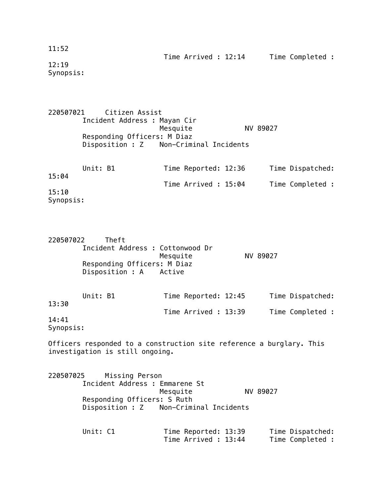## 11:52

12:19 Synopsis:

|                    | 220507021 Citizen Assist     |                                        |          |                  |
|--------------------|------------------------------|----------------------------------------|----------|------------------|
|                    | Incident Address : Mayan Cir |                                        |          |                  |
|                    |                              | Mesquite                               | NV 89027 |                  |
|                    | Responding Officers: M Diaz  |                                        |          |                  |
|                    |                              | Disposition : Z Non-Criminal Incidents |          |                  |
|                    | Unit: B1                     | Time Reported: 12:36                   |          | Time Dispatched: |
| 15:04              |                              | Time Arrived: 15:04                    |          | Time Completed : |
| 15:10<br>Synopsis: |                              |                                        |          |                  |

| 220507022 | Theft<br>Incident Address : Cottonwood Dr<br>Responding Officers: M Diaz<br>Disposition : A Active | Mesquite             | NV 89027         |
|-----------|----------------------------------------------------------------------------------------------------|----------------------|------------------|
|           | Unit: B1                                                                                           | Time Reported: 12:45 | Time Dispatched: |

13:30 Time Arrived : 13:39 Time Completed : 14:41

Synopsis:

Officers responded to a construction site reference a burglary. This investigation is still ongoing.

220507025 Missing Person Incident Address : Emmarene St Mesquite NV 89027 Responding Officers: S Ruth Disposition : Z Non-Criminal Incidents

> Unit: C1 Time Reported: 13:39 Time Dispatched: Time Arrived : 13:44 Time Completed :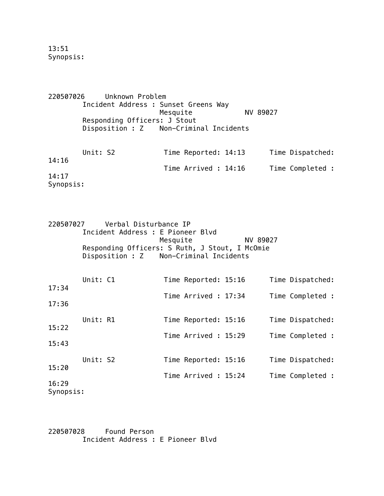13:51 Synopsis:

220507026 Unknown Problem Incident Address : Sunset Greens Way Mesquite NV 89027 Responding Officers: J Stout Disposition : Z Non-Criminal Incidents Unit: S2 Time Reported: 14:13 Time Dispatched: 14:16 Time Arrived : 14:16 Time Completed : 14:17

Synopsis:

| 220507027 | Verbal Disturbance IP                          |          |
|-----------|------------------------------------------------|----------|
|           | Incident Address : E Pioneer Blvd              |          |
|           | Mesquite                                       | NV 89027 |
|           | Responding Officers: S Ruth, J Stout, I McOmie |          |
|           | Disposition : Z Non-Criminal Incidents         |          |

| 17:34              | Unit: C1 |  | Time Reported: 15:16 |  | Time Dispatched: |
|--------------------|----------|--|----------------------|--|------------------|
|                    |          |  | Time Arrived: 17:34  |  | Time Completed : |
| 17:36              |          |  |                      |  |                  |
|                    | Unit: R1 |  | Time Reported: 15:16 |  | Time Dispatched: |
| 15:22              |          |  | Time Arrived: 15:29  |  | Time Completed : |
| 15:43              |          |  |                      |  |                  |
|                    | Unit: S2 |  | Time Reported: 15:16 |  | Time Dispatched: |
| 15:20              |          |  | Time Arrived : 15:24 |  | Time Completed : |
| 16:29<br>Synopsis: |          |  |                      |  |                  |

220507028 Found Person Incident Address : E Pioneer Blvd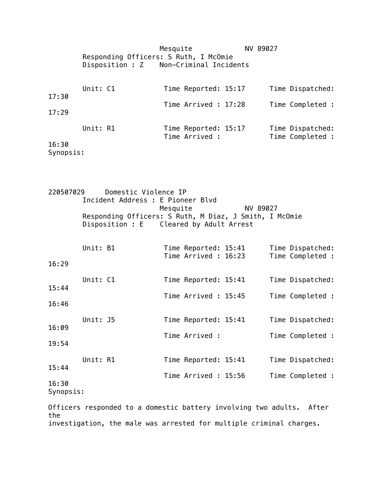Mesquite NV 89027 Responding Officers: S Ruth, I McOmie Disposition : Z Non-Criminal Incidents Unit: C1 Time Reported: 15:17 Time Dispatched: 17:30 Time Arrived : 17:28 Time Completed : 17:29 Unit: R1 Time Reported: 15:17 Time Dispatched: Time Arrived : Time Completed : 16:30 Synopsis:

220507029 Domestic Violence IP Incident Address : E Pioneer Blvd Mesquite NV 89027 Responding Officers: S Ruth, M Diaz, J Smith, I McOmie Disposition : E Cleared by Adult Arrest Unit: B1 Time Reported: 15:41 Time Dispatched: Time Arrived : 16:23 Time Completed : 16:29 Unit: C1 Time Reported: 15:41 Time Dispatched: 15:44 Time Arrived : 15:45 Time Completed : 16:46 Unit: J5 Time Reported: 15:41 Time Dispatched: 16:09 Time Arrived : Time Completed : 19:54 Unit: R1 Time Reported: 15:41 Time Dispatched: 15:44 Time Arrived : 15:56 Time Completed : 16:30 Synopsis: Officers responded to a domestic battery involving two adults. After

the investigation, the male was arrested for multiple criminal charges.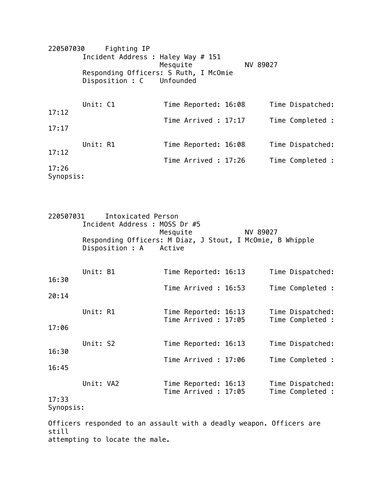220507030 Fighting IP Incident Address : Haley Way # 151 Mesquite NV 89027 Responding Officers: S Ruth, I McOmie Disposition : C Unfounded Unit: C1 Time Reported: 16:08 Time Dispatched: 17:12 Time Arrived : 17:17 Time Completed : 17:17 Unit: R1 Time Reported: 16:08 Time Dispatched: 17:12 Time Arrived : 17:26 Time Completed : 17:26 Synopsis:

| 220507031<br>Intoxicated Person<br>Incident Address : MOSS Dr #5 |                                                                                                             |  |  |                                              |  |  |                                      |  |  |  |
|------------------------------------------------------------------|-------------------------------------------------------------------------------------------------------------|--|--|----------------------------------------------|--|--|--------------------------------------|--|--|--|
|                                                                  | Mesquite<br>NV 89027<br>Responding Officers: M Diaz, J Stout, I McOmie, B Whipple<br>Disposition : A Active |  |  |                                              |  |  |                                      |  |  |  |
| 16:30                                                            | Unit: B1                                                                                                    |  |  | Time Reported: 16:13                         |  |  | Time Dispatched:                     |  |  |  |
| 20:14                                                            |                                                                                                             |  |  | Time Arrived : 16:53                         |  |  | Time Completed :                     |  |  |  |
| 17:06                                                            | Unit: R1                                                                                                    |  |  | Time Reported: 16:13<br>Time Arrived: 17:05  |  |  | Time Dispatched:<br>Time Completed : |  |  |  |
| 16:30                                                            | Unit: S2                                                                                                    |  |  | Time Reported: 16:13                         |  |  | Time Dispatched:                     |  |  |  |
| 16:45                                                            |                                                                                                             |  |  | Time Arrived: 17:06                          |  |  | Time Completed :                     |  |  |  |
| 17:33<br>Synopsis:                                               | Unit: VA2                                                                                                   |  |  | Time Reported: 16:13<br>Time Arrived : 17:05 |  |  | Time Dispatched:<br>Time Completed : |  |  |  |

Officers responded to an assault with a deadly weapon. Officers are still attempting to locate the male.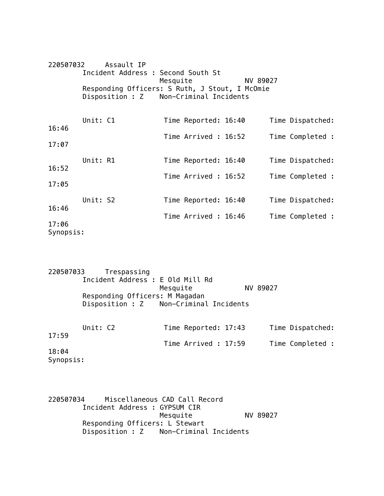| 220507032          |                                                                                          | Assault IP                         |          |                      |          |  |                  |  |  |
|--------------------|------------------------------------------------------------------------------------------|------------------------------------|----------|----------------------|----------|--|------------------|--|--|
|                    |                                                                                          | Incident Address : Second South St | Mesquite |                      | NV 89027 |  |                  |  |  |
|                    | Responding Officers: S Ruth, J Stout, I McOmie<br>Disposition : Z Non-Criminal Incidents |                                    |          |                      |          |  |                  |  |  |
|                    |                                                                                          |                                    |          |                      |          |  |                  |  |  |
|                    | Unit: C1                                                                                 |                                    |          | Time Reported: 16:40 |          |  | Time Dispatched: |  |  |
| 16:46              |                                                                                          |                                    |          | Time Arrived : 16:52 |          |  | Time Completed : |  |  |
| 17:07              |                                                                                          |                                    |          |                      |          |  |                  |  |  |
|                    | Unit: R1                                                                                 |                                    |          | Time Reported: 16:40 |          |  | Time Dispatched: |  |  |
| 16:52              |                                                                                          |                                    |          | Time Arrived : 16:52 |          |  | Time Completed : |  |  |
| 17:05              |                                                                                          |                                    |          |                      |          |  |                  |  |  |
|                    | Unit: S2                                                                                 |                                    |          | Time Reported: 16:40 |          |  | Time Dispatched: |  |  |
| 16:46              |                                                                                          |                                    |          | Time Arrived : 16:46 |          |  | Time Completed : |  |  |
| 17:06<br>Synopsis: |                                                                                          |                                    |          |                      |          |  |                  |  |  |

220507033 Trespassing Incident Address : E Old Mill Rd Mesquite NV 89027 Responding Officers: M Magadan Disposition : Z Non-Criminal Incidents Unit: C2 Time Reported: 17:43 Time Dispatched: 17:59 Time Arrived : 17:59 Time Completed : 18:04 Synopsis:

220507034 Miscellaneous CAD Call Record Incident Address : GYPSUM CIR Mesquite NV 89027 Responding Officers: L Stewart Disposition : Z Non-Criminal Incidents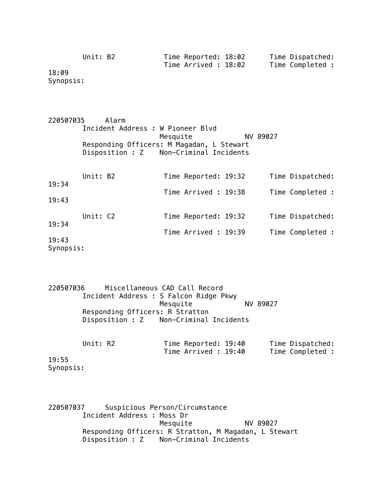| Unit: B2 | Time Reported: 18:02 | Time Dispatched: |
|----------|----------------------|------------------|
| .        | Time Arrived : 18:02 | Time Completed : |

18:09 Synopsis:

220507035 Alarm Incident Address : W Pioneer Blvd Mesquite NV 89027 Responding Officers: M Magadan, L Stewart Disposition : Z Non-Criminal Incidents

| 19:34              | Unit: B2 |  | Time Reported: 19:32 |  | Time Dispatched: |
|--------------------|----------|--|----------------------|--|------------------|
|                    |          |  | Time Arrived: 19:38  |  | Time Completed : |
| 19:43              |          |  |                      |  |                  |
|                    | Unit: C2 |  | Time Reported: 19:32 |  | Time Dispatched: |
| 19:34              |          |  | Time Arrived : 19:39 |  | Time Completed : |
| 19:43<br>Synopsis: |          |  |                      |  |                  |

220507036 Miscellaneous CAD Call Record Incident Address : S Falcon Ridge Pkwy Mesquite NV 89027 Responding Officers: R Stratton Disposition : Z Non-Criminal Incidents

| Unit: R2  |  | Time Reported: 19:40 |  | Time Dispatched: |
|-----------|--|----------------------|--|------------------|
|           |  | Time Arrived : 19:40 |  | Time Completed : |
| 19:55     |  |                      |  |                  |
| Synopsis: |  |                      |  |                  |

220507037 Suspicious Person/Circumstance Incident Address : Moss Dr Mesquite NV 89027 Responding Officers: R Stratton, M Magadan, L Stewart Disposition : Z Non-Criminal Incidents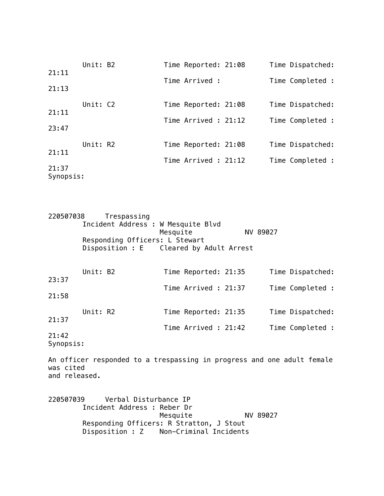| 21:11              | Unit: B2 |  | Time Reported: 21:08 |  | Time Dispatched: |
|--------------------|----------|--|----------------------|--|------------------|
|                    |          |  | Time Arrived :       |  | Time Completed : |
| 21:13              |          |  |                      |  |                  |
| 21:11              | Unit: C2 |  | Time Reported: 21:08 |  | Time Dispatched: |
|                    |          |  | Time Arrived : 21:12 |  | Time Completed : |
| 23:47              |          |  |                      |  |                  |
|                    | Unit: R2 |  | Time Reported: 21:08 |  | Time Dispatched: |
| 21:11              |          |  | Time Arrived : 21:12 |  | Time Completed : |
| 21:37<br>Synopsis: |          |  |                      |  |                  |

| 220507038 | Trespassing                             |                      |          |                  |
|-----------|-----------------------------------------|----------------------|----------|------------------|
|           | Incident Address : W Mesquite Blvd      | Mesquite             | NV 89027 |                  |
|           | Responding Officers: L Stewart          |                      |          |                  |
|           | Disposition : E Cleared by Adult Arrest |                      |          |                  |
|           |                                         |                      |          |                  |
|           |                                         |                      |          |                  |
|           | Unit: B2                                | Time Reported: 21:35 |          | Time Dispatched: |
| 23:37     |                                         | Time Arrived: 21:37  |          |                  |
| 21:58     |                                         |                      |          | Time Completed : |
|           |                                         |                      |          |                  |
|           | Unit: R2                                | Time Reported: 21:35 |          | Time Dispatched: |
| 21:37     |                                         |                      |          |                  |
|           |                                         | Time Arrived: 21:42  |          | Time Completed : |

21:42 Synopsis:

An officer responded to a trespassing in progress and one adult female was cited and released.

220507039 Verbal Disturbance IP Incident Address : Reber Dr Mesquite NV 89027 Responding Officers: R Stratton, J Stout Disposition : Z Non-Criminal Incidents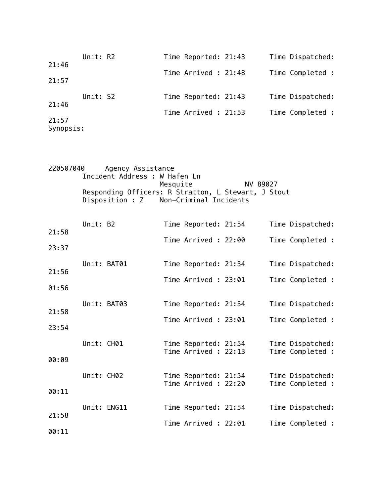| 21:46              | Unit: R2 |  | Time Reported: 21:43 |  | Time Dispatched: |
|--------------------|----------|--|----------------------|--|------------------|
|                    |          |  | Time Arrived : 21:48 |  | Time Completed : |
| 21:57              |          |  |                      |  |                  |
|                    | Unit: S2 |  | Time Reported: 21:43 |  | Time Dispatched: |
| 21:46              |          |  | Time Arrived : 21:53 |  | Time Completed : |
| 21:57<br>Synopsis: |          |  |                      |  |                  |

| 220507040<br>Agency Assistance                      |          |
|-----------------------------------------------------|----------|
| Incident Address : W Hafen Ln                       |          |
| Mesquite                                            | NV 89027 |
| Responding Officers: R Stratton, L Stewart, J Stout |          |
| Disposition : Z Non-Criminal Incidents              |          |

|       | Unit: B2    |             | Time Reported: 21:54                         |  | Time Dispatched:                     |
|-------|-------------|-------------|----------------------------------------------|--|--------------------------------------|
| 21:58 |             |             | Time Arrived: 22:00                          |  | Time Completed :                     |
| 23:37 |             |             |                                              |  |                                      |
|       | Unit: BAT01 |             | Time Reported: 21:54                         |  | Time Dispatched:                     |
| 21:56 |             |             | Time Arrived : 23:01                         |  | Time Completed :                     |
| 01:56 |             |             |                                              |  |                                      |
|       |             | Unit: BAT03 | Time Reported: 21:54                         |  | Time Dispatched:                     |
| 21:58 |             |             | Time Arrived : 23:01                         |  | Time Completed :                     |
| 23:54 |             |             |                                              |  |                                      |
|       | Unit: CH01  |             | Time Reported: 21:54                         |  | Time Dispatched:                     |
| 00:09 |             |             | Time Arrived : 22:13                         |  | Time Completed :                     |
|       |             |             |                                              |  |                                      |
|       | Unit: CH02  |             | Time Reported: 21:54<br>Time Arrived : 22:20 |  | Time Dispatched:<br>Time Completed : |
| 00:11 |             |             |                                              |  |                                      |
|       |             | Unit: ENG11 | Time Reported: 21:54                         |  | Time Dispatched:                     |
| 21:58 |             |             | Time Arrived: 22:01                          |  | Time Completed :                     |
| 00:11 |             |             |                                              |  |                                      |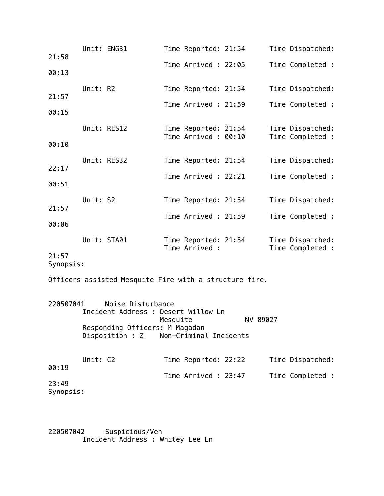| 21:58              |          | Unit: ENG31                                              |          | Time Reported: 21:54                        |          | Time Dispatched:                     |
|--------------------|----------|----------------------------------------------------------|----------|---------------------------------------------|----------|--------------------------------------|
|                    |          |                                                          |          | Time Arrived : 22:05                        |          | Time Completed :                     |
| 00:13              |          |                                                          |          |                                             |          |                                      |
| 21:57              | Unit: R2 |                                                          |          | Time Reported: 21:54                        |          | Time Dispatched:                     |
| 00:15              |          |                                                          |          | Time Arrived : 21:59                        |          | Time Completed :                     |
|                    |          | Unit: RES12                                              |          |                                             |          |                                      |
|                    |          |                                                          |          | Time Reported: 21:54<br>Time Arrived: 00:10 |          | Time Dispatched:<br>Time Completed : |
| 00:10              |          |                                                          |          |                                             |          |                                      |
| 22:17              |          | Unit: RES32                                              |          | Time Reported: 21:54                        |          | Time Dispatched:                     |
| 00:51              |          |                                                          |          | Time Arrived : 22:21                        |          | Time Completed :                     |
|                    |          |                                                          |          |                                             |          |                                      |
| 21:57              | Unit: S2 |                                                          |          | Time Reported: 21:54                        |          | Time Dispatched:                     |
| 00:06              |          |                                                          |          | Time Arrived : 21:59                        |          | Time Completed :                     |
|                    |          | Unit: STA01                                              |          |                                             |          |                                      |
|                    |          |                                                          |          | Time Reported: 21:54<br>Time Arrived :      |          | Time Dispatched:<br>Time Completed : |
| 21:57<br>Synopsis: |          |                                                          |          |                                             |          |                                      |
|                    |          | Officers assisted Mesquite Fire with a structure fire.   |          |                                             |          |                                      |
|                    |          |                                                          |          |                                             |          |                                      |
| 220507041          |          | Noise Disturbance<br>Incident Address : Desert Willow Ln |          |                                             |          |                                      |
|                    |          |                                                          | Mesquite |                                             | NV 89027 |                                      |
|                    |          | Responding Officers: M Magadan<br>Disposition : Z        |          | Non-Criminal Incidents                      |          |                                      |
|                    |          |                                                          |          |                                             |          |                                      |
| 00:19              | Unit: C2 |                                                          |          | Time Reported: 22:22                        |          | Time Dispatched:                     |
|                    |          |                                                          |          | Time Arrived : 23:47                        |          | Time Completed :                     |
| 23:49<br>Synopsis: |          |                                                          |          |                                             |          |                                      |

220507042 Suspicious/Veh Incident Address : Whitey Lee Ln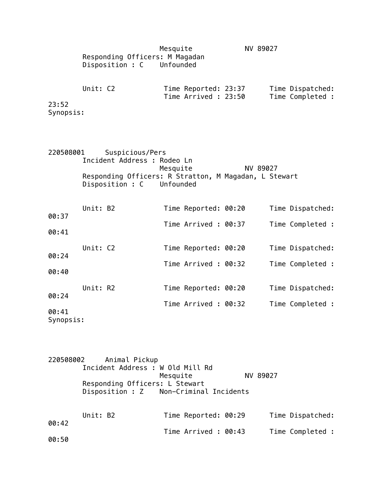|                             |          | Responding Officers: M Magadan<br>Disposition : C Unfounded                                                                          | Mesquite |                                             | NV 89027 |                                      |
|-----------------------------|----------|--------------------------------------------------------------------------------------------------------------------------------------|----------|---------------------------------------------|----------|--------------------------------------|
| 23:52<br>Synopsis:          | Unit: C2 |                                                                                                                                      |          | Time Reported: 23:37<br>Time Arrived: 23:50 |          | Time Dispatched:<br>Time Completed : |
| 220508001                   |          | Suspicious/Pers<br>Incident Address : Rodeo Ln<br>Responding Officers: R Stratton, M Magadan, L Stewart<br>Disposition : C Unfounded | Mesquite |                                             | NV 89027 |                                      |
| 00:37<br>00:41              | Unit: B2 |                                                                                                                                      |          | Time Reported: 00:20<br>Time Arrived: 00:37 |          | Time Dispatched:<br>Time Completed : |
| 00:24<br>00:40              | Unit: C2 |                                                                                                                                      |          | Time Reported: 00:20<br>Time Arrived: 00:32 |          | Time Dispatched:<br>Time Completed : |
| 00:24<br>00:41<br>Synopsis: | Unit: R2 |                                                                                                                                      |          | Time Reported: 00:20<br>Time Arrived: 00:32 |          | Time Dispatched:<br>Time Completed : |

220508002 Animal Pickup Incident Address : W Old Mill Rd Mesquite NV 89027 Responding Officers: L Stewart<br>Disposition : Z Non-Criminal Non-Criminal Incidents Unit: B2 Time Reported: 00:29 Time Dispatched: 00:42 Time Arrived : 00:43 Time Completed : 00:50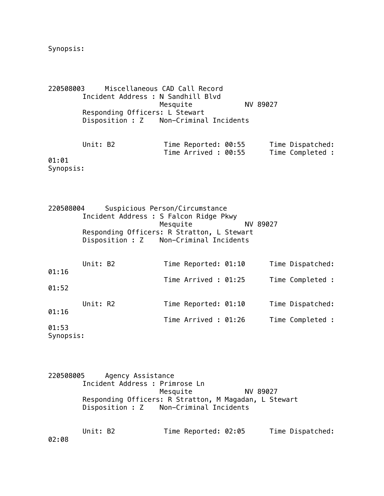Synopsis:

220508003 Miscellaneous CAD Call Record Incident Address : N Sandhill Blvd Mesquite NV 89027 Responding Officers: L Stewart Disposition : Z Non-Criminal Incidents

Unit: B2 Time Reported: 00:55 Time Dispatched: Time Arrived : 00:55 Time Completed : 01:01

Synopsis:

220508004 Suspicious Person/Circumstance Incident Address : S Falcon Ridge Pkwy Mesquite NV 89027 Responding Officers: R Stratton, L Stewart Disposition : Z Non-Criminal Incidents Unit: B2 Time Reported: 01:10 Time Dispatched: 01:16 Time Arrived : 01:25 Time Completed : 01:52 Unit: R2 Time Reported: 01:10 Time Dispatched: 01:16 Time Arrived : 01:26 Time Completed : 01:53

Synopsis:

220508005 Agency Assistance Incident Address : Primrose Ln Mesquite NV 89027 Responding Officers: R Stratton, M Magadan, L Stewart Disposition : Z Non-Criminal Incidents

Unit: B2 Time Reported: 02:05 Time Dispatched: 02:08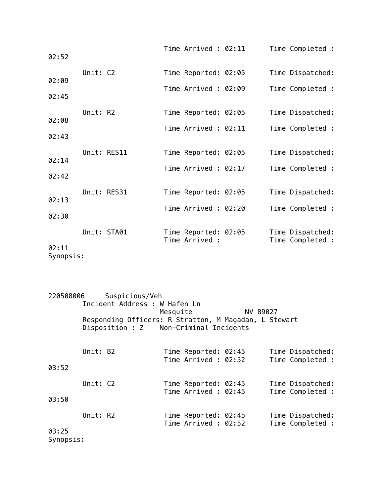| 02:52 |             |  | Time Arrived: 02:11                    |  | Time Completed :                     |
|-------|-------------|--|----------------------------------------|--|--------------------------------------|
| 02:09 | Unit: C2    |  | Time Reported: 02:05                   |  | Time Dispatched:                     |
| 02:45 |             |  | Time Arrived: 02:09                    |  | Time Completed :                     |
| 02:08 | Unit: R2    |  | Time Reported: 02:05                   |  | Time Dispatched:                     |
| 02:43 |             |  | Time Arrived : 02:11                   |  | Time Completed :                     |
| 02:14 | Unit: RES11 |  | Time Reported: 02:05                   |  | Time Dispatched:                     |
| 02:42 |             |  | Time Arrived : 02:17                   |  | Time Completed :                     |
| 02:13 | Unit: RES31 |  | Time Reported: 02:05                   |  | Time Dispatched:                     |
| 02:30 |             |  | Time Arrived: 02:20                    |  | Time Completed :                     |
|       | Unit: STA01 |  | Time Reported: 02:05<br>Time Arrived : |  | Time Dispatched:<br>Time Completed : |
| 02:11 |             |  |                                        |  |                                      |

Synopsis:

| 220508006 |          | Suspicious/Veh                                        |          |                                             |          |                                      |
|-----------|----------|-------------------------------------------------------|----------|---------------------------------------------|----------|--------------------------------------|
|           |          | Incident Address : W Hafen Ln                         |          |                                             |          |                                      |
|           |          |                                                       | Mesquite |                                             | NV 89027 |                                      |
|           |          | Responding Officers: R Stratton, M Magadan, L Stewart |          |                                             |          |                                      |
|           |          | Disposition : Z Non-Criminal Incidents                |          |                                             |          |                                      |
|           | Unit: B2 |                                                       |          |                                             |          |                                      |
|           |          |                                                       |          | Time Reported: 02:45<br>Time Arrived: 02:52 |          | Time Dispatched:<br>Time Completed : |
| 03:52     |          |                                                       |          |                                             |          |                                      |
|           | Unit: C2 |                                                       |          | Time Reported: 02:45                        |          | Time Dispatched:                     |
|           |          |                                                       |          | Time Arrived : 02:45                        |          | Time Completed :                     |
| 03:50     |          |                                                       |          |                                             |          |                                      |
|           | Unit: R2 |                                                       |          | Time Reported: 02:45                        |          | Time Dispatched:                     |
|           |          |                                                       |          | Time Arrived: 02:52                         |          | Time Completed :                     |
| 03:25     |          |                                                       |          |                                             |          |                                      |
| C         |          |                                                       |          |                                             |          |                                      |

Synopsis: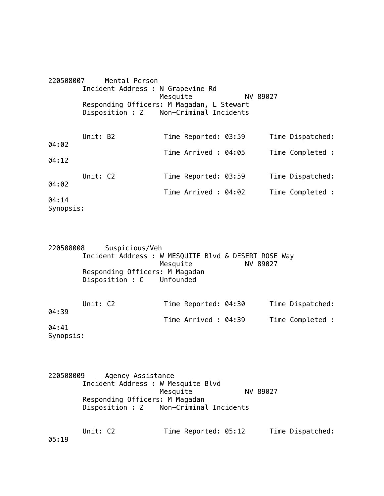| 220508007          |          | Mental Person |                                                                                     |          |                  |
|--------------------|----------|---------------|-------------------------------------------------------------------------------------|----------|------------------|
|                    |          |               | Incident Address : N Grapevine Rd<br>Mesquite                                       | NV 89027 |                  |
|                    |          |               | Responding Officers: M Magadan, L Stewart<br>Disposition : Z Non-Criminal Incidents |          |                  |
| 04:02              | Unit: B2 |               | Time Reported: 03:59                                                                |          | Time Dispatched: |
|                    |          |               | Time Arrived: 04:05                                                                 |          | Time Completed : |
| 04:12              |          |               |                                                                                     |          |                  |
|                    | Unit: C2 |               | Time Reported: 03:59                                                                |          | Time Dispatched: |
| 04:02              |          |               | Time Arrived: 04:02                                                                 |          | Time Completed : |
| 04:14<br>Synopsis: |          |               |                                                                                     |          |                  |

220508008 Suspicious/Veh Incident Address : W MESQUITE Blvd & DESERT ROSE Way Mesquite MV 89027 Responding Officers: M Magadan Disposition : C Unfounded

|                        | Unit: C2 | Time Reported: 04:30 |  | Time Dispatched: |  |
|------------------------|----------|----------------------|--|------------------|--|
| 04:39                  |          | Time Arrived : 04:39 |  | Time Completed : |  |
| 04:41                  |          |                      |  |                  |  |
| $C1$ and $C2$ and $C3$ |          |                      |  |                  |  |

Synopsis:

| 220508009<br>Agency Assistance         |          |
|----------------------------------------|----------|
| Incident Address : W Mesquite Blvd     |          |
| Mesquite                               | NV 89027 |
| Responding Officers: M Magadan         |          |
| Disposition : Z Non-Criminal Incidents |          |

Unit: C2 Time Reported: 05:12 Time Dispatched: 05:19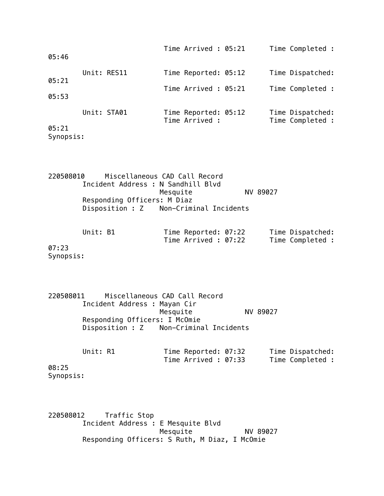| 05:46              |             |  | Time Arrived : 05:21                   |  | Time Completed :                     |
|--------------------|-------------|--|----------------------------------------|--|--------------------------------------|
| 05:21              | Unit: RES11 |  | Time Reported: 05:12                   |  | Time Dispatched:                     |
| 05:53              |             |  | Time Arrived : 05:21                   |  | Time Completed :                     |
|                    |             |  |                                        |  |                                      |
|                    | Unit: STA01 |  | Time Reported: 05:12<br>Time Arrived : |  | Time Dispatched:<br>Time Completed : |
| 05:21<br>Synopsis: |             |  |                                        |  |                                      |

220508010 Miscellaneous CAD Call Record Incident Address : N Sandhill Blvd Mesquite NV 89027 Responding Officers: M Diaz Disposition : Z Non-Criminal Incidents

| Unit: B1 | Time Reported: 07:22 | Time Dispatched: |
|----------|----------------------|------------------|
|          | Time Arrived : 07:22 | Time Completed : |

07:23 Synopsis:

220508011 Miscellaneous CAD Call Record Incident Address : Mayan Cir NV 89027 Responding Officers: I McOmie Disposition : Z Non-Criminal Incidents

| Unit: R1           |  | Time Reported: 07:32<br>Time Arrived : 07:33 |  | Time Dispatched:<br>Time Completed : |
|--------------------|--|----------------------------------------------|--|--------------------------------------|
| 08:25<br>Synopsis: |  |                                              |  |                                      |

220508012 Traffic Stop Incident Address : E Mesquite Blvd Mesquite NV 89027 Responding Officers: S Ruth, M Diaz, I McOmie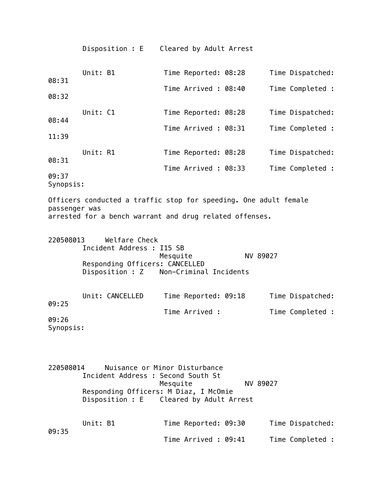|                    | Disposition : E                                                                                                             | Cleared by Adult Arrest                   |          |                  |
|--------------------|-----------------------------------------------------------------------------------------------------------------------------|-------------------------------------------|----------|------------------|
| 08:31              | Unit: B1                                                                                                                    | Time Reported: 08:28                      |          | Time Dispatched: |
| 08:32              |                                                                                                                             | Time Arrived: 08:40                       |          | Time Completed : |
| 08:44              | Unit: C1                                                                                                                    | Time Reported: 08:28                      |          | Time Dispatched: |
| 11:39              |                                                                                                                             | Time Arrived: 08:31                       |          | Time Completed : |
| 08:31              | Unit: R1                                                                                                                    | Time Reported: 08:28                      |          | Time Dispatched: |
| 09:37<br>Synopsis: |                                                                                                                             | Time Arrived: 08:33                       |          | Time Completed : |
| passenger was      | Officers conducted a traffic stop for speeding. One adult female<br>arrested for a bench warrant and drug related offenses. |                                           |          |                  |
| 220508013          | Welfare Check<br>Incident Address : I15 SB<br>Responding Officers: CANCELLED<br>Disposition : Z Non-Criminal Incidents      | Mesquite                                  | NV 89027 |                  |
| 09:25              | Unit: CANCELLED                                                                                                             | Time Reported: 09:18                      |          | Time Dispatched: |
| 09:26<br>Synopsis: |                                                                                                                             | Time Arrived :                            |          | Time Completed : |
|                    |                                                                                                                             |                                           |          |                  |
| 220508014          | Incident Address : Second South St<br>Responding Officers: M Diaz, I McOmie<br>Disposition : E Cleared by Adult Arrest      | Nuisance or Minor Disturbance<br>Mesquite | NV 89027 |                  |
|                    |                                                                                                                             |                                           |          |                  |

Time Arrived : 09:41 Time Completed :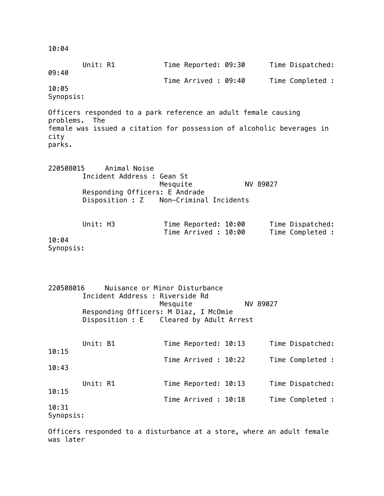10:04 Unit: R1 Time Reported: 09:30 Time Dispatched: 09:40 Time Arrived : 09:40 Time Completed : 10:05 Synopsis: Officers responded to a park reference an adult female causing problems. The female was issued a citation for possession of alcoholic beverages in city parks. 220508015 Animal Noise Incident Address : Gean St Mesquite NV 89027 Responding Officers: E Andrade Disposition : Z Non-Criminal Incidents Unit: H3 Time Reported: 10:00 Time Dispatched: Time Arrived : 10:00 Time Completed : 10:04 Synopsis: 220508016 Nuisance or Minor Disturbance Incident Address : Riverside Rd Mesquite NV 89027 Responding Officers: M Diaz, I McOmie Disposition : E Cleared by Adult Arrest Unit: B1 Time Reported: 10:13 Time Dispatched: 10:15 Time Arrived : 10:22 Time Completed : 10:43 Unit: R1 Time Reported: 10:13 Time Dispatched: 10:15 Time Arrived : 10:18 Time Completed : 10:31 Synopsis: Officers responded to a disturbance at a store, where an adult female was later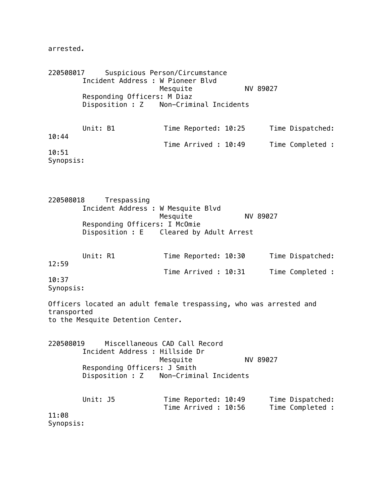arrested.

220508017 Suspicious Person/Circumstance Incident Address : W Pioneer Blvd Mesquite NV 89027 Responding Officers: M Diaz Disposition : Z Non-Criminal Incidents Unit: B1 Time Reported: 10:25 Time Dispatched: 10:44 Time Arrived : 10:49 Time Completed : 10:51 Synopsis:

220508018 Trespassing Incident Address : W Mesquite Blvd Mesquite NV 89027 Responding Officers: I McOmie Disposition : E Cleared by Adult Arrest

|           | Unit: R1 | Time Reported: 10:30 |  | Time Dispatched: |
|-----------|----------|----------------------|--|------------------|
| 12:59     |          |                      |  |                  |
|           |          | Time Arrived : 10:31 |  | Time Completed : |
| 10:37     |          |                      |  |                  |
| Synopsis: |          |                      |  |                  |

Officers located an adult female trespassing, who was arrested and transported to the Mesquite Detention Center.

220508019 Miscellaneous CAD Call Record Incident Address : Hillside Dr Mesquite NV 89027 Responding Officers: J Smith Disposition : Z Non-Criminal Incidents

Unit: J5 Time Reported: 10:49 Time Dispatched: Time Arrived : 10:56 Time Completed : 11:08 Synopsis: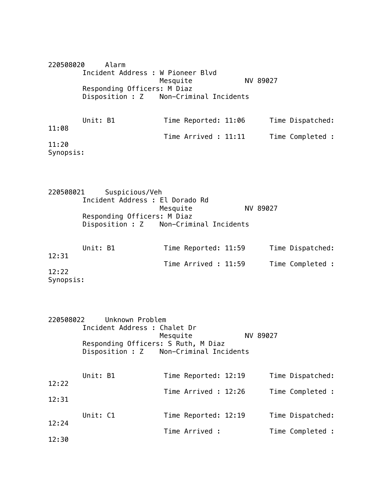220508020 Alarm Incident Address : W Pioneer Blvd Mesquite NV 89027 Responding Officers: M Diaz Disposition : Z Non-Criminal Incidents Unit: B1 Time Reported: 11:06 Time Dispatched: 11:08 Time Arrived : 11:11 Time Completed : 11:20 Synopsis:

220508021 Suspicious/Veh Incident Address : El Dorado Rd Mesquite NV 89027 Responding Officers: M Diaz Disposition : Z Non-Criminal Incidents

| Unit: B1  | Time Reported: 11:59 | Time Dispatched: |
|-----------|----------------------|------------------|
| 12:31     |                      |                  |
|           | Time Arrived : 11:59 | Time Completed : |
| 12:22     |                      |                  |
| Synopsis: |                      |                  |

| 220508022 |          | Unknown Problem<br>Incident Address : Chalet Dr                               | Mesquite |                      | NV 89027 |                  |
|-----------|----------|-------------------------------------------------------------------------------|----------|----------------------|----------|------------------|
|           |          | Responding Officers: S Ruth, M Diaz<br>Disposition : Z Non-Criminal Incidents |          |                      |          |                  |
| 12:22     | Unit: B1 |                                                                               |          | Time Reported: 12:19 |          | Time Dispatched: |
| 12:31     |          |                                                                               |          | Time Arrived: 12:26  |          | Time Completed : |
| 12:24     | Unit: C1 |                                                                               |          | Time Reported: 12:19 |          | Time Dispatched: |
| 12:30     |          |                                                                               |          | Time Arrived :       |          | Time Completed : |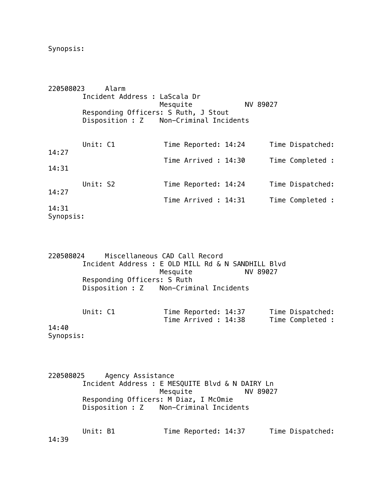Synopsis:

| 220508023          |          | Alarm                                                                          |          |                      |          |                  |
|--------------------|----------|--------------------------------------------------------------------------------|----------|----------------------|----------|------------------|
|                    |          | Incident Address : LaScala Dr                                                  | Mesquite |                      | NV 89027 |                  |
|                    |          | Responding Officers: S Ruth, J Stout<br>Disposition : Z Non-Criminal Incidents |          |                      |          |                  |
| 14:27              | Unit: C1 |                                                                                |          | Time Reported: 14:24 |          | Time Dispatched: |
|                    |          |                                                                                |          | Time Arrived: 14:30  |          | Time Completed : |
| 14:31              |          |                                                                                |          |                      |          |                  |
| 14:27              | Unit: S2 |                                                                                |          | Time Reported: 14:24 |          | Time Dispatched: |
|                    |          |                                                                                |          | Time Arrived : 14:31 |          | Time Completed : |
| 14:31<br>Synopsis: |          |                                                                                |          |                      |          |                  |

220508024 Miscellaneous CAD Call Record Incident Address : E OLD MILL Rd & N SANDHILL Blvd Mesquite Responding Officers: S Ruth Disposition : Z Non-Criminal Incidents

| Unit: C1 | Time Reported: 14:37 | Time Dispatched: |
|----------|----------------------|------------------|
|          | Time Arrived : 14:38 | Time Completed : |

14:40 Synopsis:

220508025 Agency Assistance Incident Address : E MESQUITE Blvd & N DAIRY Ln Mesquite NV 89027 Responding Officers: M Diaz, I McOmie Disposition : Z Non-Criminal Incidents

|       | Unit: B1 | Time Reported: 14:37 | Time Dispatched: |
|-------|----------|----------------------|------------------|
| 14:39 |          |                      |                  |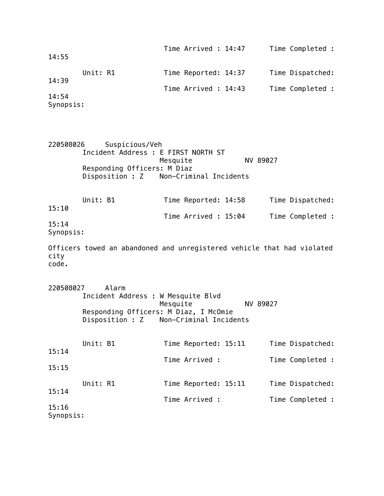| 14:55              |                                                                                      | Time Arrived : 14:47                               | Time Completed :                                                       |
|--------------------|--------------------------------------------------------------------------------------|----------------------------------------------------|------------------------------------------------------------------------|
| 14:39              | Unit: R1                                                                             | Time Reported: 14:37                               | Time Dispatched:                                                       |
|                    |                                                                                      | Time Arrived : 14:43                               | Time Completed :                                                       |
| 14:54<br>Synopsis: |                                                                                      |                                                    |                                                                        |
| 220508026          | Suspicious/Veh<br>Incident Address : E FIRST NORTH ST<br>Responding Officers: M Diaz | Mesquite<br>Disposition : Z Non-Criminal Incidents | NV 89027                                                               |
| 15:10              | Unit: B1                                                                             | Time Reported: 14:58                               | Time Dispatched:                                                       |
|                    |                                                                                      | Time Arrived: 15:04                                | Time Completed :                                                       |
| 15:14<br>Synopsis: |                                                                                      |                                                    |                                                                        |
| city<br>code.      |                                                                                      |                                                    | Officers towed an abandoned and unregistered vehicle that had violated |
| 220508027          | Alarm<br>Incident Address : W Mesquite Blvd<br>Responding Officers: M Diaz, I McOmie | Mesquite<br>Disposition : Z Non-Criminal Incidents | NV 89027                                                               |
|                    | Unit: B1                                                                             | Time Reported: 15:11                               | Time Dispatched:                                                       |
| 15:14              |                                                                                      | Time Arrived :                                     | Time Completed :                                                       |
| 15:15              |                                                                                      |                                                    |                                                                        |
| 15:14              | Unit: R1                                                                             | Time Reported: 15:11                               | Time Dispatched:                                                       |
|                    |                                                                                      | Time Arrived :                                     | Time Completed :                                                       |
| 15:16<br>Synopsis: |                                                                                      |                                                    |                                                                        |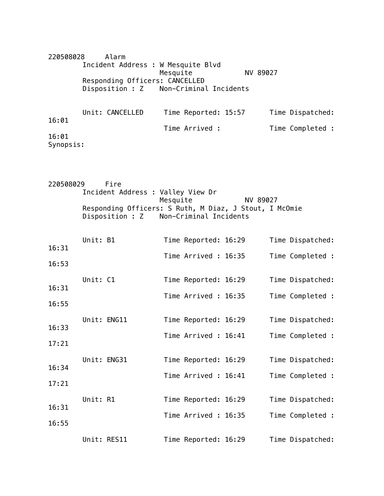220508028 Alarm Incident Address : W Mesquite Blvd Mesquite NV 89027 Responding Officers: CANCELLED Disposition : Z Non-Criminal Incidents

|           | Unit: CANCELLED | Time Reported: 15:57 | Time Dispatched: |
|-----------|-----------------|----------------------|------------------|
| 16:01     |                 | Time Arrived :       | Time Completed : |
| 16:01     |                 |                      |                  |
| Synopsis: |                 |                      |                  |

| 220508029 |             | Fire                                                                      |          |                        |          |                  |
|-----------|-------------|---------------------------------------------------------------------------|----------|------------------------|----------|------------------|
|           |             | Incident Address : Valley View Dr                                         |          |                        |          |                  |
|           |             | Responding Officers: S Ruth, M Diaz, J Stout, I McOmie<br>Disposition : Z | Mesquite | Non-Criminal Incidents | NV 89027 |                  |
| 16:31     | Unit: B1    |                                                                           |          | Time Reported: 16:29   |          | Time Dispatched: |
|           |             |                                                                           |          | Time Arrived: 16:35    |          | Time Completed : |
| 16:53     |             |                                                                           |          |                        |          |                  |
| 16:31     | Unit: C1    |                                                                           |          | Time Reported: 16:29   |          | Time Dispatched: |
|           |             |                                                                           |          | Time Arrived: 16:35    |          | Time Completed : |
| 16:55     |             |                                                                           |          |                        |          |                  |
| 16:33     |             | Unit: ENG11                                                               |          | Time Reported: 16:29   |          | Time Dispatched: |
|           |             |                                                                           |          | Time Arrived : 16:41   |          | Time Completed : |
| 17:21     |             |                                                                           |          |                        |          |                  |
| 16:34     |             | Unit: ENG31                                                               |          | Time Reported: 16:29   |          | Time Dispatched: |
|           |             |                                                                           |          | Time Arrived: 16:41    |          | Time Completed : |
| 17:21     |             |                                                                           |          |                        |          |                  |
| 16:31     | Unit: R1    |                                                                           |          | Time Reported: 16:29   |          | Time Dispatched: |
|           |             |                                                                           |          | Time Arrived: 16:35    |          | Time Completed : |
| 16:55     |             |                                                                           |          |                        |          |                  |
|           | Unit: RES11 |                                                                           |          | Time Reported: 16:29   |          | Time Dispatched: |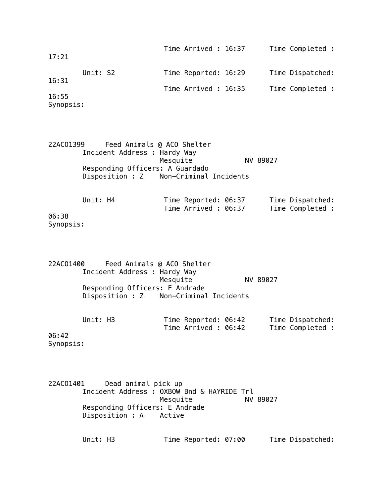| 17:21              |          | Time Arrived : 16:37 | Time Completed : |
|--------------------|----------|----------------------|------------------|
| 16:31              | Unit: S2 | Time Reported: 16:29 | Time Dispatched: |
|                    |          | Time Arrived : 16:35 | Time Completed : |
| 16:55<br>Synopsis: |          |                      |                  |

22ACO1399 Feed Animals @ ACO Shelter Incident Address : Hardy Way Mesquite NV 89027 Responding Officers: A Guardado Disposition : Z Non-Criminal Incidents

Unit: H4 Time Reported: 06:37 Time Dispatched: Time Arrived : 06:37 Time Completed : 06:38 Synopsis:

22ACO1400 Feed Animals @ ACO Shelter Incident Address : Hardy Way Mesquite NV 89027 Responding Officers: E Andrade Disposition : Z Non-Criminal Incidents

| Unit: H3 | Time Reported: 06:42 | Time Dispatched: |
|----------|----------------------|------------------|
|          | Time Arrived : 06:42 | Time Completed : |

06:42 Synopsis:

22ACO1401 Dead animal pick up Incident Address : OXBOW Bnd & HAYRIDE Trl Mesquite NV 89027 Responding Officers: E Andrade Disposition : A Active

Unit: H3 Time Reported: 07:00 Time Dispatched: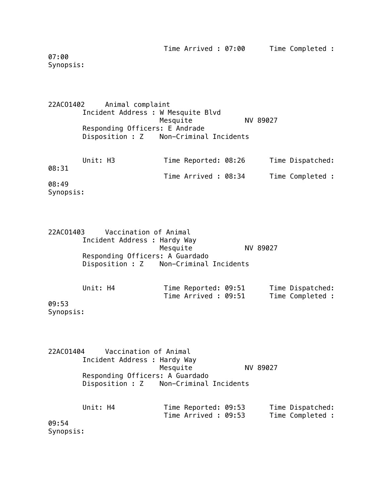Time Arrived : 07:00 Time Completed :

07:00 Synopsis:

22ACO1402 Animal complaint Incident Address : W Mesquite Blvd Mesquite NV 89027 Responding Officers: E Andrade Disposition : Z Non-Criminal Incidents Unit: H3 Time Reported: 08:26 Time Dispatched:

08:31 Time Arrived : 08:34 Time Completed : 08:49 Synopsis:

22ACO1403 Vaccination of Animal Incident Address : Hardy Way Mesquite NV 89027 Responding Officers: A Guardado Disposition : Z Non-Criminal Incidents

Unit: H4 Time Reported: 09:51 Time Dispatched: Time Arrived : 09:51 Time Completed : 09:53 Synopsis:

22ACO1404 Vaccination of Animal Incident Address : Hardy Way Mesquite NV 89027 Responding Officers: A Guardado Disposition : Z Non-Criminal Incidents

|       | Unit: H4 | Time Reported: 09:53 |  | Time Dispatched: |
|-------|----------|----------------------|--|------------------|
|       |          | Time Arrived : 09:53 |  | Time Completed : |
| 09:54 |          |                      |  |                  |

Synopsis: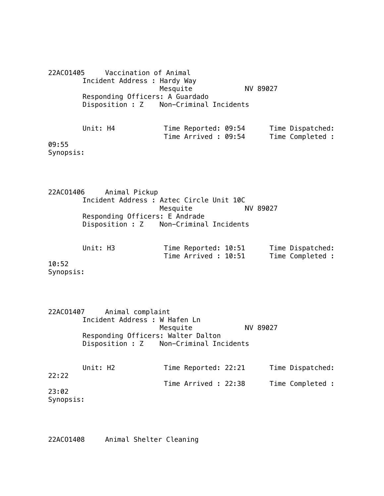22ACO1405 Vaccination of Animal Incident Address : Hardy Way Mesquite NV 89027 Responding Officers: A Guardado Disposition : Z Non-Criminal Incidents Unit: H4 Time Reported: 09:54 Time Dispatched: Time Arrived : 09:54 Time Completed : 09:55

Synopsis:

22ACO1406 Animal Pickup Incident Address : Aztec Circle Unit 10C Mesquite Responding Officers: E Andrade Disposition : Z Non-Criminal Incidents

| Unit: H3 | Time Reported: 10:51 | Time Dispatched: |
|----------|----------------------|------------------|
|          | Time Arrived : 10:51 | Time Completed : |

10:52 Synopsis:

22ACO1407 Animal complaint Incident Address : W Hafen Ln Mesquite NV 89027 Responding Officers: Walter Dalton Disposition : Z Non-Criminal Incidents

| Unit: H2  | Time Reported: 22:21 |  | Time Dispatched: |
|-----------|----------------------|--|------------------|
| 22:22     | Time Arrived : 22:38 |  | Time Completed : |
| 23:02     |                      |  |                  |
| Synopsis: |                      |  |                  |

22ACO1408 Animal Shelter Cleaning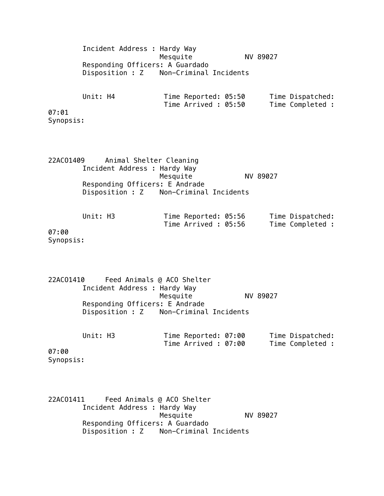Incident Address : Hardy Way Mesquite NV 89027 Responding Officers: A Guardado Disposition : Z Non-Criminal Incidents Unit: H4 Time Reported: 05:50 Time Dispatched: Time Arrived : 05:50 Time Completed : 07:01 Synopsis:

22ACO1409 Animal Shelter Cleaning Incident Address : Hardy Way Mesquite NV 89027 Responding Officers: E Andrade Disposition : Z Non-Criminal Incidents

Unit: H3 Time Reported: 05:56 Time Dispatched:<br>Time Arrived: 05:56 Time Completed: Time Arrived : 05:56 07:00

Synopsis:

22ACO1410 Feed Animals @ ACO Shelter Incident Address : Hardy Way Mesquite NV 89027 Responding Officers: E Andrade Disposition : Z Non-Criminal Incidents

| Unit: H3 | Time Reported: 07:00 | Time Dispatched: |
|----------|----------------------|------------------|
|          | Time Arrived : 07:00 | Time Completed : |

07:00 Synopsis:

22ACO1411 Feed Animals @ ACO Shelter Incident Address : Hardy Way Mesquite NV 89027 Responding Officers: A Guardado Disposition : Z Non-Criminal Incidents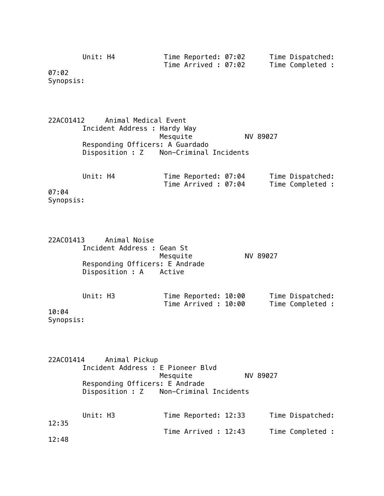| Unit: H4 | Time Reported: 07:02 | Time Dispatched: |
|----------|----------------------|------------------|
|          | Time Arrived : 07:02 | Time Completed : |

07:02 Synopsis:

22ACO1412 Animal Medical Event Incident Address : Hardy Way Mesquite NV 89027 Responding Officers: A Guardado Disposition : Z Non-Criminal Incidents

| Unit: H4                                                                              |  | Time Reported: 07:04<br>Time Arrived : 07:04 |  | Time Dispatched: |  |
|---------------------------------------------------------------------------------------|--|----------------------------------------------|--|------------------|--|
|                                                                                       |  |                                              |  | Time Completed : |  |
| 07:04                                                                                 |  |                                              |  |                  |  |
| $\mathcal{C}$ and $\mathcal{C}$ are $\mathcal{C}$ and $\mathcal{C}$ are $\mathcal{C}$ |  |                                              |  |                  |  |

Synopsis:

| 22AC01413 Animal Noise     |                                |          |
|----------------------------|--------------------------------|----------|
| Incident Address : Gean St |                                |          |
|                            | Mesquite                       | NV 89027 |
|                            | Responding Officers: E Andrade |          |
| Disposition : A Active     |                                |          |
|                            |                                |          |

|        | Unit: H3 |  | Time Reported: 10:00 |  | Time Dispatched: |  |
|--------|----------|--|----------------------|--|------------------|--|
|        |          |  | Time Arrived : 10:00 |  | Time Completed : |  |
| 10:04  |          |  |                      |  |                  |  |
| $\sim$ |          |  |                      |  |                  |  |

Synopsis:

| 22AC01414 | Animal Pickup |                                        |          |                  |
|-----------|---------------|----------------------------------------|----------|------------------|
|           |               | Incident Address : E Pioneer Blvd      |          |                  |
|           |               | Mesquite                               | NV 89027 |                  |
|           |               | Responding Officers: E Andrade         |          |                  |
|           |               | Disposition : Z Non-Criminal Incidents |          |                  |
|           |               |                                        |          |                  |
|           | Unit: H3      | Time Reported: 12:33                   |          | Time Dispatched: |
| 12:35     |               |                                        |          |                  |
|           |               | Time Arrived: 12:43                    |          | Time Completed : |
| 12:48     |               |                                        |          |                  |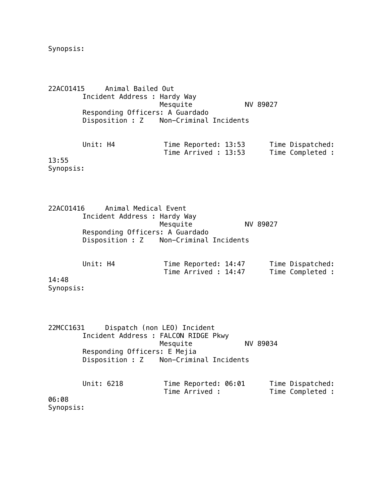Synopsis:

22ACO1415 Animal Bailed Out Incident Address : Hardy Way Mesquite NV 89027 Responding Officers: A Guardado Disposition : Z Non-Criminal Incidents

Unit: H4 Time Reported: 13:53 Time Dispatched: Time Arrived : 13:53 Time Completed : 13:55

Synopsis:

22ACO1416 Animal Medical Event Incident Address : Hardy Way Mesquite NV 89027 Responding Officers: A Guardado Disposition : Z Non-Criminal Incidents

|       | Unit: H4 | Time Reported: 14:47 |  | Time Dispatched: |  |
|-------|----------|----------------------|--|------------------|--|
|       |          | Time Arrived : 14:47 |  | Time Completed : |  |
| 14:48 |          |                      |  |                  |  |

Synopsis:

22MCC1631 Dispatch (non LEO) Incident Incident Address : FALCON RIDGE Pkwy Mesquite NV 89034 Responding Officers: E Mejia Disposition : Z Non-Criminal Incidents

|                                    | Unit: 6218 | Time Reported: 06:01 |  | Time Dispatched: |  |
|------------------------------------|------------|----------------------|--|------------------|--|
|                                    |            | Time Arrived :       |  | Time Completed : |  |
| 06:08                              |            |                      |  |                  |  |
| $\mathcal{C}$ and a set of the set |            |                      |  |                  |  |

Synopsis: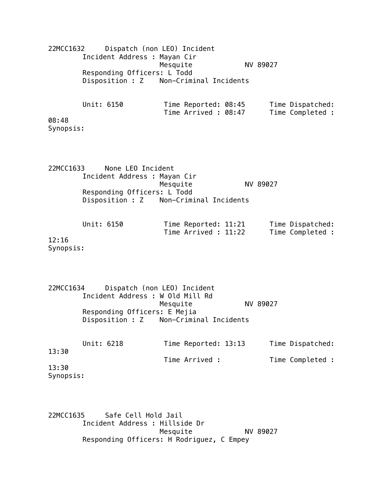| 22MCC1632                                |            | Dispatch (non LEO) Incident<br>Incident Address : Mayan Cir<br>Responding Officers: L Todd<br>Disposition : Z Non-Criminal Incidents      | Mesquite |                                              | NV 89027 |                                      |
|------------------------------------------|------------|-------------------------------------------------------------------------------------------------------------------------------------------|----------|----------------------------------------------|----------|--------------------------------------|
| 08:48<br>Synopsis:                       | Unit: 6150 |                                                                                                                                           |          | Time Reported: 08:45<br>Time Arrived: 08:47  |          | Time Dispatched:<br>Time Completed : |
| 22MCC1633<br>12:16<br>Synopsis:          | Unit: 6150 | None LEO Incident<br>Incident Address : Mayan Cir<br>Responding Officers: L Todd<br>Disposition : Z Non-Criminal Incidents                | Mesquite | Time Reported: 11:21<br>Time Arrived : 11:22 | NV 89027 | Time Dispatched:<br>Time Completed : |
| 22MCC1634<br>13:30<br>13:30<br>Synopsis: | Unit: 6218 | Dispatch (non LEO) Incident<br>Incident Address : W Old Mill Rd<br>Responding Officers: E Mejia<br>Disposition : Z Non-Criminal Incidents | Mesquite | Time Reported: 13:13<br>Time Arrived :       | NV 89027 | Time Dispatched:<br>Time Completed : |

22MCC1635 Safe Cell Hold Jail Incident Address : Hillside Dr Mesquite NV 89027 Responding Officers: H Rodriguez, C Empey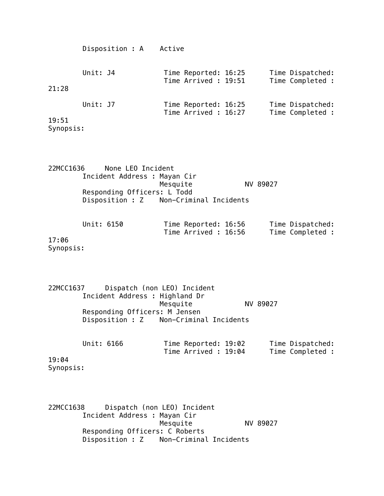|          | Active |                                                                                              |                                      |
|----------|--------|----------------------------------------------------------------------------------------------|--------------------------------------|
| Unit: J4 |        |                                                                                              | Time Dispatched:<br>Time Completed : |
| Unit: J7 |        |                                                                                              | Time Dispatched:<br>Time Completed : |
|          |        | Time Reported: 16:25<br>Time Arrived : 19:51<br>Time Reported: 16:25<br>Time Arrived : 16:27 |                                      |

| None LEO Incident<br>22MCC1636         |          |
|----------------------------------------|----------|
| Incident Address : Mayan Cir           |          |
| Mesquite                               | NV 89027 |
| Responding Officers: L Todd            |          |
| Disposition : Z Non-Criminal Incidents |          |
|                                        |          |

| Unit: 6150 | Time Reported: 16:56 | Time Dispatched: |
|------------|----------------------|------------------|
|            | Time Arrived : 16:56 | Time Completed : |

17:06 Synopsis:

22MCC1637 Dispatch (non LEO) Incident Incident Address : Highland Dr Mesquite NV 89027 Responding Officers: M Jensen Disposition : Z Non-Criminal Incidents

|       | Unit: 6166 | Time Reported: 19:02 |  | Time Dispatched: |  |
|-------|------------|----------------------|--|------------------|--|
|       |            | Time Arrived : 19:04 |  | Time Completed : |  |
| 19:04 |            |                      |  |                  |  |

Synopsis:

22MCC1638 Dispatch (non LEO) Incident Incident Address : Mayan Cir NV 89027 Responding Officers: C Roberts Disposition : Z Non-Criminal Incidents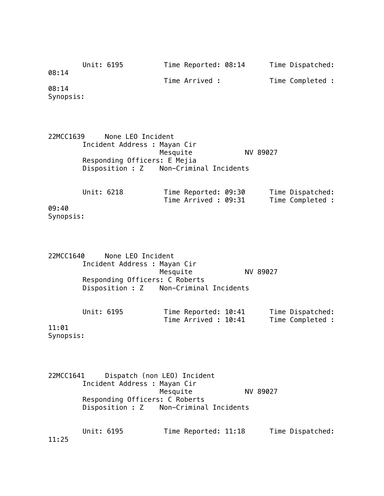|           | Unit: 6195 | Time Reported: 08:14 | Time Dispatched: |
|-----------|------------|----------------------|------------------|
| 08:14     |            |                      |                  |
|           |            | Time Arrived :       | Time Completed : |
| 08:14     |            |                      |                  |
| Synopsis: |            |                      |                  |

22MCC1639 None LEO Incident Incident Address : Mayan Cir Mesquite NV 89027 Responding Officers: E Mejia Disposition : Z Non-Criminal Incidents

Unit: 6218 Time Reported: 09:30 Time Dispatched:<br>Time Arrived: 09:31 Time Completed: Time Arrived : 09:31 09:40 Synopsis:

| 22MCC1640 | None LEO Incident                      |          |          |  |
|-----------|----------------------------------------|----------|----------|--|
|           | Incident Address : Mayan Cir           |          |          |  |
|           |                                        | Mesquite | NV 89027 |  |
|           | Responding Officers: C Roberts         |          |          |  |
|           | Disposition : Z Non-Criminal Incidents |          |          |  |
|           |                                        |          |          |  |
|           |                                        |          |          |  |
|           |                                        |          |          |  |

|    | Unit: 6195 |  | Time Reported: 10:41 |  | Time Dispatched: |
|----|------------|--|----------------------|--|------------------|
|    |            |  | Time Arrived : 10:41 |  | Time Completed : |
| Ω1 |            |  |                      |  |                  |

11:01 Synopsis:

22MCC1641 Dispatch (non LEO) Incident Incident Address : Mayan Cir Mesquite NV 89027 Responding Officers: C Roberts Disposition : Z Non-Criminal Incidents

Unit: 6195 Time Reported: 11:18 Time Dispatched: 11:25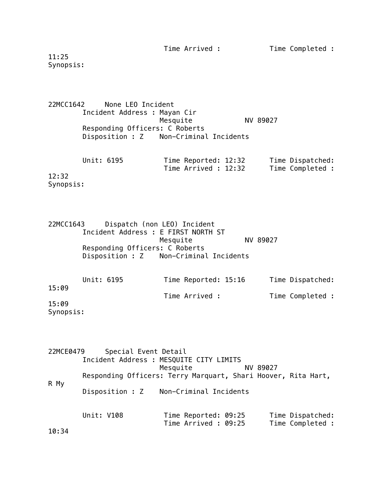Time Arrived : Time Completed :

11:25 Synopsis:

22MCC1642 None LEO Incident Incident Address : Mayan Cir Mesquite NV 89027 Responding Officers: C Roberts Disposition : Z Non-Criminal Incidents

|       | Unit: 6195 |  | Time Reported: 12:32 |  | Time Dispatched: |
|-------|------------|--|----------------------|--|------------------|
|       |            |  | Time Arrived : 12:32 |  | Time Completed : |
| 12:32 |            |  |                      |  |                  |

Synopsis:

22MCC1643 Dispatch (non LEO) Incident Incident Address : E FIRST NORTH ST Mesquite NV 89027 Responding Officers: C Roberts Disposition : Z Non-Criminal Incidents

| Unit: 6195<br>15:09 |  | Time Reported: 15:16 |                | Time Dispatched: |                  |
|---------------------|--|----------------------|----------------|------------------|------------------|
|                     |  |                      | Time Arrived : |                  | Time Completed : |
| 15:09<br>Synopsis:  |  |                      |                |                  |                  |

22MCE0479 Special Event Detail Incident Address : MESQUITE CITY LIMITS Mesquite NV 89027 Responding Officers: Terry Marquart, Shari Hoover, Rita Hart, R My Disposition : Z Non-Criminal Incidents Unit: V108 Time Reported: 09:25 Time Dispatched: Time Arrived : 09:25 Time Completed : 10:34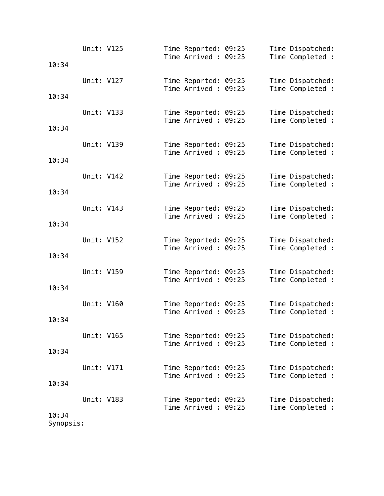|       | Unit: V125 |  | Time Reported: 09:25<br>Time Arrived: 09:25  |  | Time Dispatched:<br>Time Completed : |
|-------|------------|--|----------------------------------------------|--|--------------------------------------|
| 10:34 |            |  |                                              |  |                                      |
|       | Unit: V127 |  | Time Reported: 09:25<br>Time Arrived: 09:25  |  | Time Dispatched:<br>Time Completed : |
| 10:34 |            |  |                                              |  |                                      |
|       | Unit: V133 |  | Time Reported: 09:25                         |  | Time Dispatched:                     |
| 10:34 |            |  | Time Arrived: 09:25                          |  | Time Completed :                     |
|       |            |  |                                              |  |                                      |
|       | Unit: V139 |  | Time Reported: 09:25<br>Time Arrived: 09:25  |  | Time Dispatched:<br>Time Completed : |
| 10:34 |            |  |                                              |  |                                      |
|       | Unit: V142 |  | Time Reported: 09:25                         |  | Time Dispatched:                     |
| 10:34 |            |  | Time Arrived: 09:25                          |  | Time Completed :                     |
|       |            |  |                                              |  |                                      |
|       | Unit: V143 |  | Time Reported: 09:25<br>Time Arrived: 09:25  |  | Time Dispatched:<br>Time Completed : |
| 10:34 |            |  |                                              |  |                                      |
|       | Unit: V152 |  | Time Reported: 09:25                         |  | Time Dispatched:                     |
| 10:34 |            |  | Time Arrived: 09:25                          |  | Time Completed :                     |
|       | Unit: V159 |  | Time Reported: 09:25                         |  | Time Dispatched:                     |
|       |            |  | Time Arrived: 09:25                          |  | Time Completed :                     |
| 10:34 |            |  |                                              |  |                                      |
|       | Unit: V160 |  | Time Reported: 09:25<br>Time Arrived : 09:25 |  | Time Dispatched:<br>Time Completed : |
| 10:34 |            |  |                                              |  |                                      |
|       | Unit: V165 |  | Time Reported: 09:25                         |  | Time Dispatched:                     |
| 10:34 |            |  | Time Arrived: 09:25                          |  | Time Completed :                     |
|       |            |  |                                              |  |                                      |
|       | Unit: V171 |  | Time Reported: 09:25<br>Time Arrived: 09:25  |  | Time Dispatched:<br>Time Completed : |
| 10:34 |            |  |                                              |  |                                      |
|       | Unit: V183 |  | Time Reported: 09:25                         |  | Time Dispatched:                     |
| 10:34 |            |  | Time Arrived: 09:25                          |  | Time Completed :                     |

Synopsis: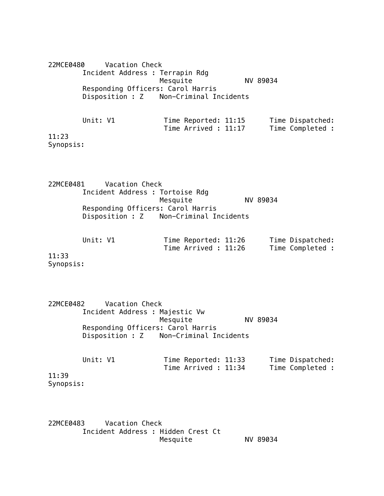22MCE0480 Vacation Check Incident Address : Terrapin Rdg Mesquite NV 89034 Responding Officers: Carol Harris Disposition : Z Non-Criminal Incidents Unit: V1 Time Reported: 11:15 Time Dispatched: Time Arrived : 11:17 Time Completed : 11:23 Synopsis:

22MCE0481 Vacation Check Incident Address : Tortoise Rdg Mesquite NV 89034 Responding Officers: Carol Harris Disposition : Z Non-Criminal Incidents

| Unit: V1 | Time Reported: 11:26 | Time Dispatched: |
|----------|----------------------|------------------|
|          | Time Arrived : 11:26 | Time Completed : |

11:33 Synopsis:

22MCE0482 Vacation Check Incident Address : Majestic Vw Mesquite NV 89034 Responding Officers: Carol Harris Disposition : Z Non-Criminal Incidents

| Unit: V1  | Time Reported: 11:33 | Time Dispatched: |
|-----------|----------------------|------------------|
|           | Time Arrived : 11:34 | Time Completed : |
| 11:39     |                      |                  |
| Synopsis: |                      |                  |

22MCE0483 Vacation Check Incident Address : Hidden Crest Ct Mesquite NV 89034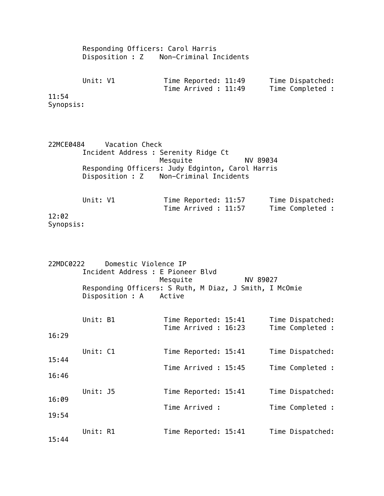Responding Officers: Carol Harris Disposition : Z Non-Criminal Incidents

| Unit: V1 | Time Reported: 11:49 | Time Dispatched: |
|----------|----------------------|------------------|
|          | Time Arrived : 11:49 | Time Completed : |

11:54 Synopsis:

22MCE0484 Vacation Check Incident Address : Serenity Ridge Ct Mesquite NV 89034 Responding Officers: Judy Edginton, Carol Harris Disposition : Z Non-Criminal Incidents

Unit: V1 Time Reported: 11:57 Time Dispatched:<br>Time Arrived: 11:57 Time Completed: Time  $Arrived$  : 11:57 12:02 Synopsis:

22MDC0222 Domestic Violence IP Incident Address : E Pioneer Blvd Mesquite NV 89027 Responding Officers: S Ruth, M Diaz, J Smith, I McOmie Disposition : A Active

| 16:29                   | Unit: B1 |  | Time Reported: 15:41<br>Time Arrived: 16:23  |  | Time Dispatched:<br>Time Completed : |
|-------------------------|----------|--|----------------------------------------------|--|--------------------------------------|
| 15:44                   | Unit: C1 |  | Time Reported: 15:41<br>Time Arrived : 15:45 |  | Time Dispatched:<br>Time Completed : |
| 16:46<br>16:09<br>19:54 | Unit: J5 |  | Time Reported: 15:41<br>Time Arrived :       |  | Time Dispatched:<br>Time Completed : |
| 15:44                   | Unit: R1 |  | Time Reported: 15:41                         |  | Time Dispatched:                     |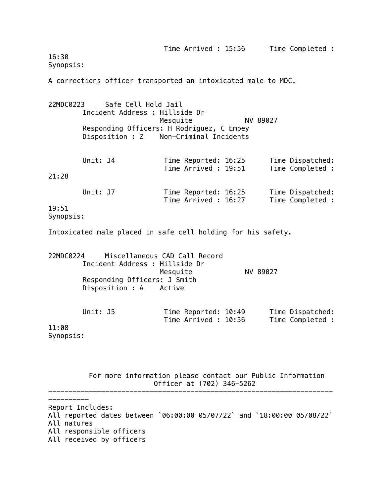| 16:30<br>Synopsis: |          |                                                                                                                           |          |                                              | Time Arrived : 15:56 | Time Completed :                     |
|--------------------|----------|---------------------------------------------------------------------------------------------------------------------------|----------|----------------------------------------------|----------------------|--------------------------------------|
|                    |          | A corrections officer transported an intoxicated male to MDC.                                                             |          |                                              |                      |                                      |
| 22MDC0223          |          | Safe Cell Hold Jail<br>Incident Address : Hillside Dr<br>Responding Officers: H Rodriguez, C Empey<br>Disposition : Z     | Mesquite | Non-Criminal Incidents                       | NV 89027             |                                      |
| 21:28              | Unit: J4 |                                                                                                                           |          | Time Reported: 16:25<br>Time Arrived: 19:51  |                      | Time Dispatched:<br>Time Completed : |
| 19:51<br>Synopsis: | Unit: J7 |                                                                                                                           |          | Time Reported: 16:25<br>Time Arrived : 16:27 |                      | Time Dispatched:<br>Time Completed : |
|                    |          | Intoxicated male placed in safe cell holding for his safety.                                                              |          |                                              |                      |                                      |
| 22MDC0224          |          | Miscellaneous CAD Call Record<br>Incident Address : Hillside Dr<br>Responding Officers: J Smith<br>Disposition : A Active | Mesquite |                                              | NV 89027             |                                      |
| 11:08<br>Synopsis: | Unit: J5 |                                                                                                                           |          | Time Reported: 10:49<br>Time Arrived: 10:56  |                      | Time Dispatched:<br>Time Completed : |

 For more information please contact our Public Information Officer at (702) 346-5262 ----------------------------------------------------------------------

Report Includes: All reported dates between `06:00:00 05/07/22` and `18:00:00 05/08/22` All natures All responsible officers All received by officers

----------